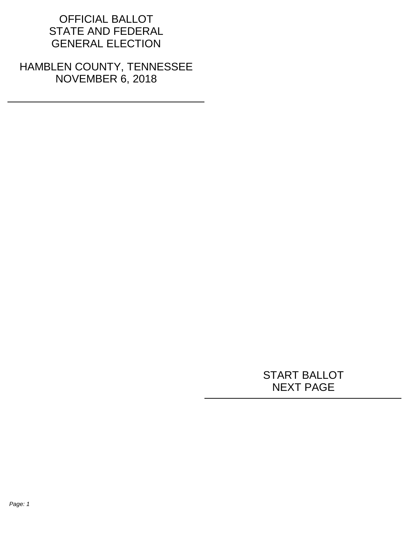## OFFICIAL BALLOT STATE AND FEDERAL GENERAL ELECTION

HAMBLEN COUNTY, TENNESSEE NOVEMBER 6, 2018

## START BALLOT NEXT PAGE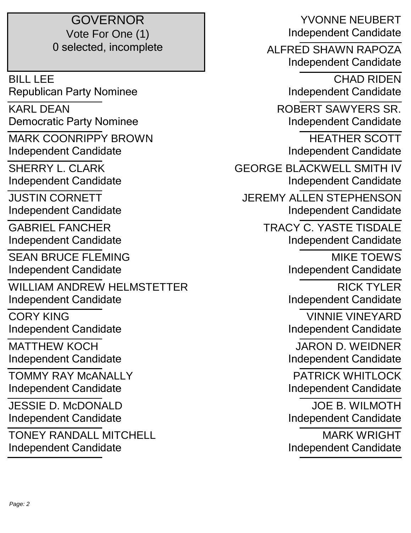## GOVERNOR Vote For One (1) 0 selected, incomplete

BILL LEE Republican Party Nominee

KARL DEAN Democratic Party Nominee

MARK COONRIPPY BROWN Independent Candidate

SHERRY L. CLARK Independent Candidate

JUSTIN CORNETT Independent Candidate

GABRIEL FANCHER Independent Candidate

SEAN BRUCE FLEMING Independent Candidate

WILLIAM ANDREW HELMSTETTER Independent Candidate

CORY KING Independent Candidate

MATTHEW KOCH Independent Candidate

TOMMY RAY McANALLY Independent Candidate

JESSIE D. McDONALD Independent Candidate

TONEY RANDALL MITCHELL Independent Candidate

YVONNE NEUBERT Independent Candidate ALFRED SHAWN RAPOZA Independent Candidate CHAD RIDEN Independent Candidate ROBERT SAWYERS SR. Independent Candidate HEATHER SCOTT Independent Candidate GEORGE BLACKWELL SMITH IV Independent Candidate JEREMY ALLEN STEPHENSON Independent Candidate TRACY C. YASTE TISDALE Independent Candidate MIKE TOEWS Independent Candidate RICK TYLER Independent Candidate VINNIE VINEYARD Independent Candidate JARON D. WEIDNER Independent Candidate PATRICK WHITI OCK Independent Candidate JOE B. WILMOTH Independent Candidate MARK WRIGHT Independent Candidate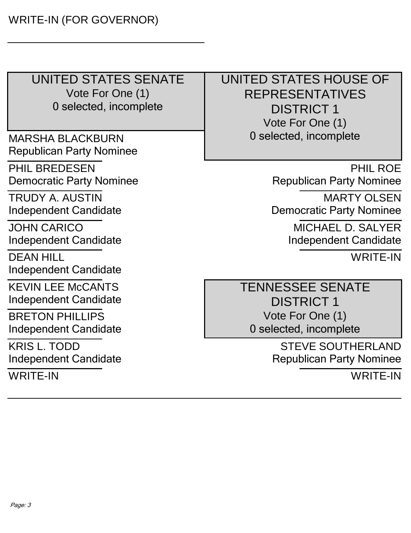UNITED STATES SENATE Vote For One (1) 0 selected, incomplete

MARSHA BLACKBURN Republican Party Nominee

PHIL BREDESEN Democratic Party Nominee

TRUDY A. AUSTIN Independent Candidate

JOHN CARICO Independent Candidate

DEAN HILL Independent Candidate

KEVIN LEE McCANTS Independent Candidate

BRETON PHILLIPS Independent Candidate

KRIS L. TODD Independent Candidate

WRITE-IN

 UNITED STATES HOUSE OF REPRESENTATIVES DISTRICT 1 Vote For One (1) 0 selected, incomplete

> PHIL ROE Republican Party Nominee

MARTY OLSEN Democratic Party Nominee

> MICHAEL D. SALYER Independent Candidate

> > WRITE-IN

 TENNESSEE SENATE DISTRICT 1 Vote For One (1) 0 selected, incomplete

> STEVE SOUTHERLAND Republican Party Nominee

> > WRITE-IN